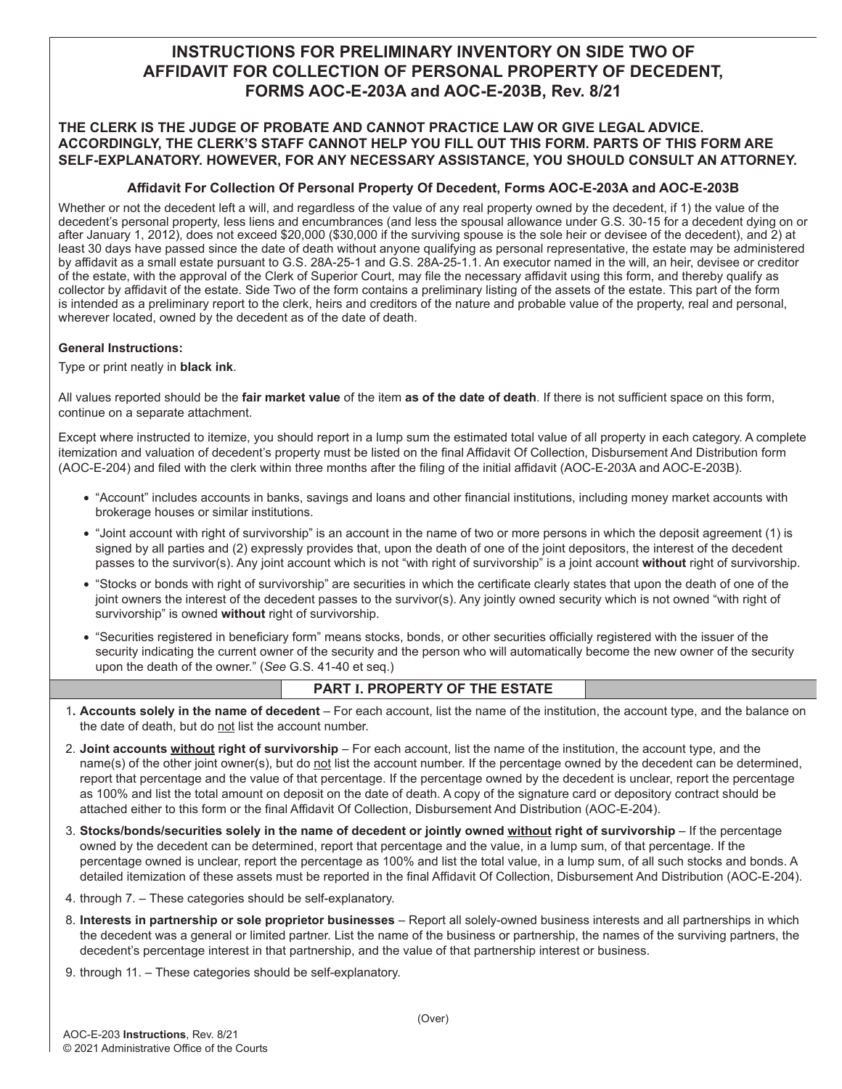# **INSTRUCTIONS FOR PRELIMINARY INVENTORY ON SIDE TWO OF AFFIDAVIT FOR COLLECTION OF PERSONAL PROPERTY OF DECEDENT, FORMS AOC-E-203A and AOC-E-203B, Rev. 8/21**

## **THE CLERK IS THE JUDGE OF PROBATE AND CANNOT PRACTICE LAW OR GIVE LEGAL ADVICE. ACCORDINGLY, THE CLERK'S STAFF CANNOT HELP YOU FILL OUT THIS FORM. PARTS OF THIS FORM ARE SELF-EXPLANATORY. HOWEVER, FOR ANY NECESSARY ASSISTANCE, YOU SHOULD CONSULT AN ATTORNEY.**

## **Affidavit For Collection Of Personal Property Of Decedent, Forms AOC-E-203A and AOC-E-203B**

Whether or not the decedent left a will, and regardless of the value of any real property owned by the decedent, if 1) the value of the decedent's personal property, less liens and encumbrances (and less the spousal allowance under G.S. 30-15 for a decedent dying on or after January 1, 2012), does not exceed \$20,000 (\$30,000 if the surviving spouse is the sole heir or devisee of the decedent), and 2) at least 30 days have passed since the date of death without anyone qualifying as personal representative, the estate may be administered by affidavit as a small estate pursuant to G.S. 28A-25-1 and G.S. 28A-25-1.1. An executor named in the will, an heir, devisee or creditor of the estate, with the approval of the Clerk of Superior Court, may file the necessary affidavit using this form, and thereby qualify as collector by affidavit of the estate. Side Two of the form contains a preliminary listing of the assets of the estate. This part of the form is intended as a preliminary report to the clerk, heirs and creditors of the nature and probable value of the property, real and personal, wherever located, owned by the decedent as of the date of death.

#### **General Instructions:**

Type or print neatly in **black ink**.

All values reported should be the **fair market value** of the item **as of the date of death**. If there is not sufficient space on this form, continue on a separate attachment.

Except where instructed to itemize, you should report in a lump sum the estimated total value of all property in each category. A complete itemization and valuation of decedent's property must be listed on the final Affidavit Of Collection, Disbursement And Distribution form (AOC-E-204) and filed with the clerk within three months after the filing of the initial affidavit (AOC-E-203A and AOC-E-203B).

- "Account" includes accounts in banks, savings and loans and other financial institutions, including money market accounts with brokerage houses or similar institutions.
- "Joint account with right of survivorship" is an account in the name of two or more persons in which the deposit agreement (1) is signed by all parties and (2) expressly provides that, upon the death of one of the joint depositors, the interest of the decedent passes to the survivor(s). Any joint account which is not "with right of survivorship" is a joint account **without** right of survivorship.
- "Stocks or bonds with right of survivorship" are securities in which the certificate clearly states that upon the death of one of the joint owners the interest of the decedent passes to the survivor(s). Any jointly owned security which is not owned "with right of survivorship" is owned **without** right of survivorship.
- "Securities registered in beneficiary form" means stocks, bonds, or other securities officially registered with the issuer of the security indicating the current owner of the security and the person who will automatically become the new owner of the security upon the death of the owner." (*See* G.S. 41-40 et seq.)

## **PART I. PROPERTY OF THE ESTATE**

- 1**. Accounts solely in the name of decedent**  For each account, list the name of the institution, the account type, and the balance on the date of death, but do not list the account number.
- 2. **Joint accounts without right of survivorship** For each account, list the name of the institution, the account type, and the name(s) of the other joint owner(s), but do not list the account number. If the percentage owned by the decedent can be determined, report that percentage and the value of that percentage. If the percentage owned by the decedent is unclear, report the percentage as 100% and list the total amount on deposit on the date of death. A copy of the signature card or depository contract should be attached either to this form or the final Affidavit Of Collection, Disbursement And Distribution (AOC-E-204).
- 3. **Stocks/bonds/securities solely in the name of decedent or jointly owned without right of survivorship** If the percentage owned by the decedent can be determined, report that percentage and the value, in a lump sum, of that percentage. If the percentage owned is unclear, report the percentage as 100% and list the total value, in a lump sum, of all such stocks and bonds. A detailed itemization of these assets must be reported in the final Affidavit Of Collection, Disbursement And Distribution (AOC-E-204).
- 4. through 7. These categories should be self-explanatory.
- 8. **Interests in partnership or sole proprietor businesses** Report all solely-owned business interests and all partnerships in which the decedent was a general or limited partner. List the name of the business or partnership, the names of the surviving partners, the decedent's percentage interest in that partnership, and the value of that partnership interest or business.
- 9. through 11. These categories should be self-explanatory.